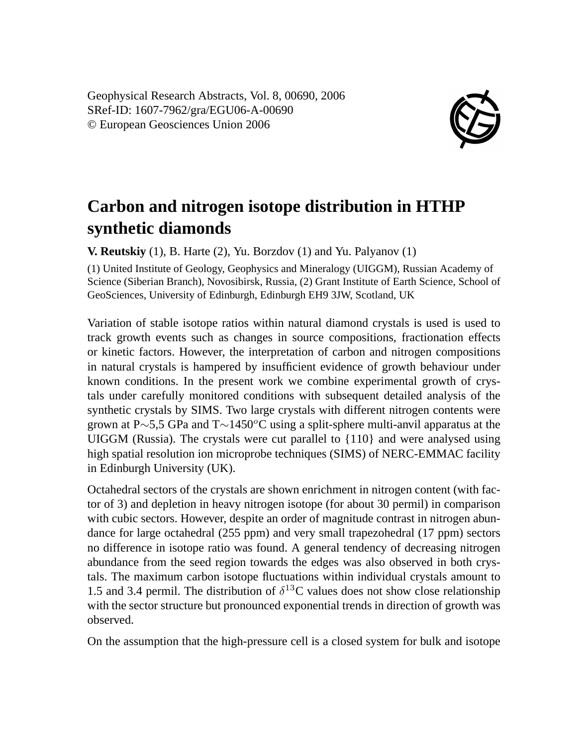Geophysical Research Abstracts, Vol. 8, 00690, 2006 SRef-ID: 1607-7962/gra/EGU06-A-00690 © European Geosciences Union 2006



## **Carbon and nitrogen isotope distribution in HTHP synthetic diamonds**

**V. Reutskiy** (1), B. Harte (2), Yu. Borzdov (1) and Yu. Palyanov (1)

(1) United Institute of Geology, Geophysics and Mineralogy (UIGGM), Russian Academy of Science (Siberian Branch), Novosibirsk, Russia, (2) Grant Institute of Earth Science, School of GeoSciences, University of Edinburgh, Edinburgh EH9 3JW, Scotland, UK

Variation of stable isotope ratios within natural diamond crystals is used is used to track growth events such as changes in source compositions, fractionation effects or kinetic factors. However, the interpretation of carbon and nitrogen compositions in natural crystals is hampered by insufficient evidence of growth behaviour under known conditions. In the present work we combine experimental growth of crystals under carefully monitored conditions with subsequent detailed analysis of the synthetic crystals by SIMS. Two large crystals with different nitrogen contents were grown at P∼5,5 GPa and T∼1450<sup>o</sup>C using a split-sphere multi-anvil apparatus at the UIGGM (Russia). The crystals were cut parallel to  $\{110\}$  and were analysed using high spatial resolution ion microprobe techniques (SIMS) of NERC-EMMAC facility in Edinburgh University (UK).

Octahedral sectors of the crystals are shown enrichment in nitrogen content (with factor of 3) and depletion in heavy nitrogen isotope (for about 30 permil) in comparison with cubic sectors. However, despite an order of magnitude contrast in nitrogen abundance for large octahedral (255 ppm) and very small trapezohedral (17 ppm) sectors no difference in isotope ratio was found. A general tendency of decreasing nitrogen abundance from the seed region towards the edges was also observed in both crystals. The maximum carbon isotope fluctuations within individual crystals amount to 1.5 and 3.4 permil. The distribution of  $\delta^{13}$ C values does not show close relationship with the sector structure but pronounced exponential trends in direction of growth was observed.

On the assumption that the high-pressure cell is a closed system for bulk and isotope